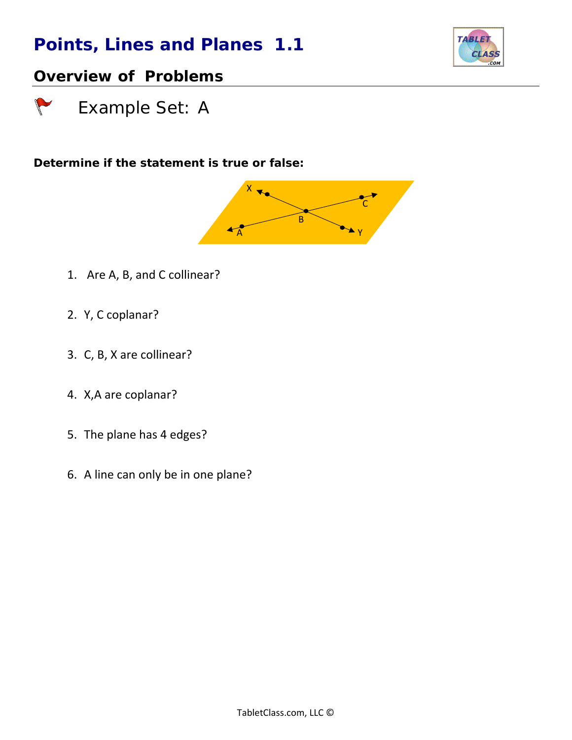

### *Overview of Problems*

 *Example Set: A*

*Determine if the statement is true or false:*



- 1. Are A, B, and C collinear?
- 2. Y, C coplanar?
- 3. C, B, X are collinear?
- 4. X,A are coplanar?
- 5. The plane has 4 edges?
- 6. A line can only be in one plane?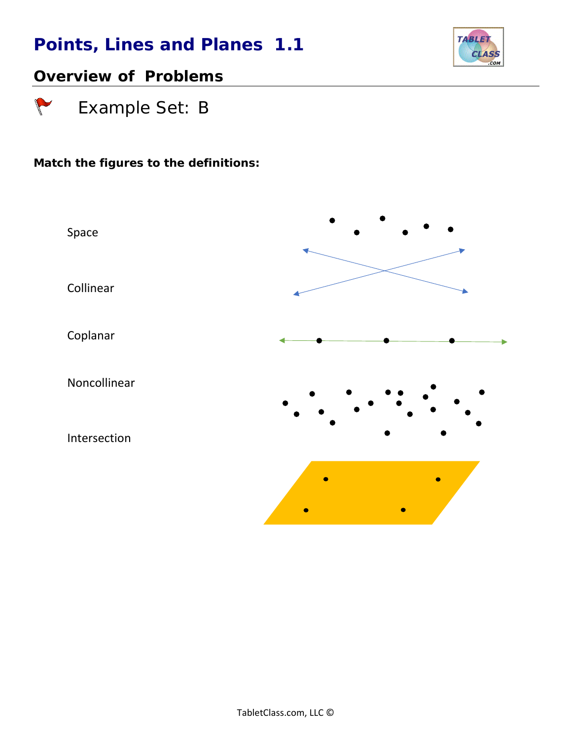

### *Overview of Problems*

 *Example Set: B*

 $\sqrt{2}$ 

#### *Match the figures to the definitions:*

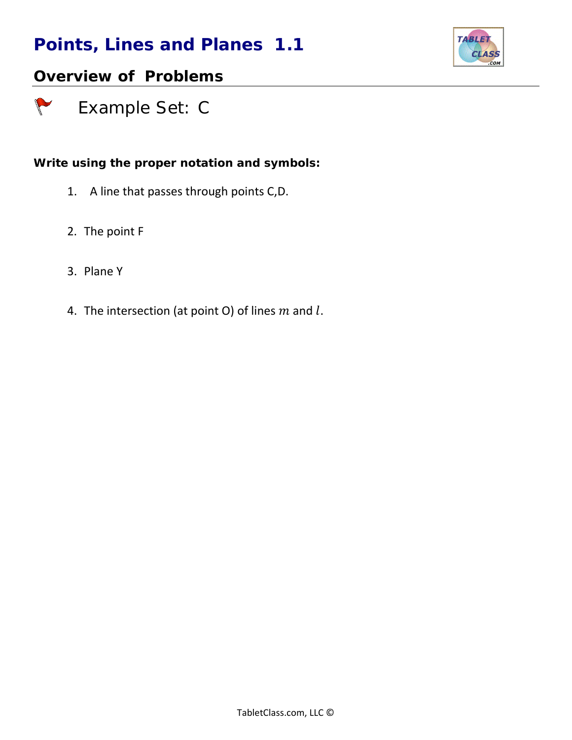

### *Overview of Problems*

 *Example Set: C*

#### *Write using the proper notation and symbols:*

- 1. A line that passes through points C,D.
- 2. The point F
- 3. Plane Y

 $\sqrt{ }$ 

4. The intersection (at point O) of lines  $m$  and  $l$ .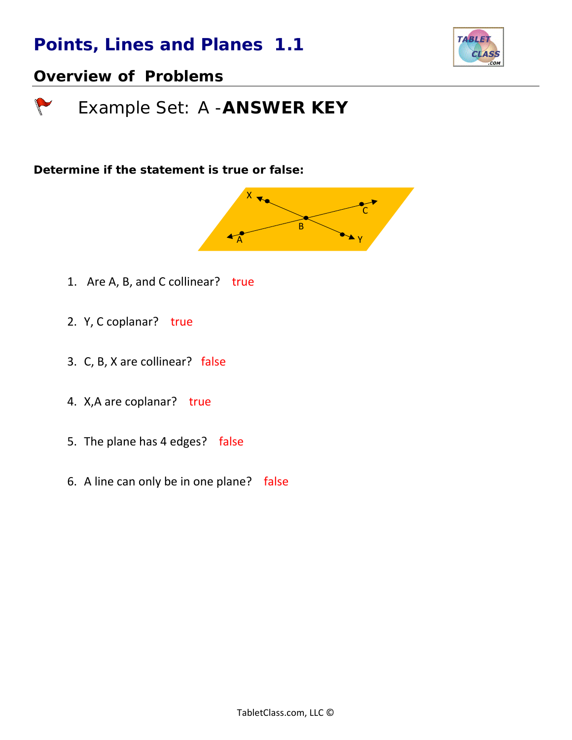

#### *Overview of Problems*

 *Example Set: A -ANSWER KEY*

*Determine if the statement is true or false:*



- 1. Are A, B, and C collinear? true
- 2. Y, C coplanar? true
- 3. C, B, X are collinear? false
- 4. X, A are coplanar? true
- 5. The plane has 4 edges? false
- 6. A line can only be in one plane? false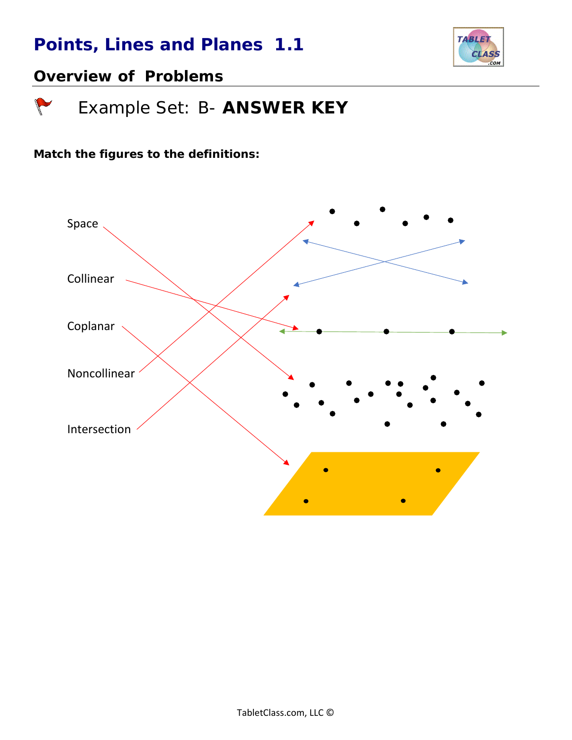

### *Overview of Problems*

 $\sqrt{2}$ 

 *Example Set: B- ANSWER KEY*

*Match the figures to the definitions:*